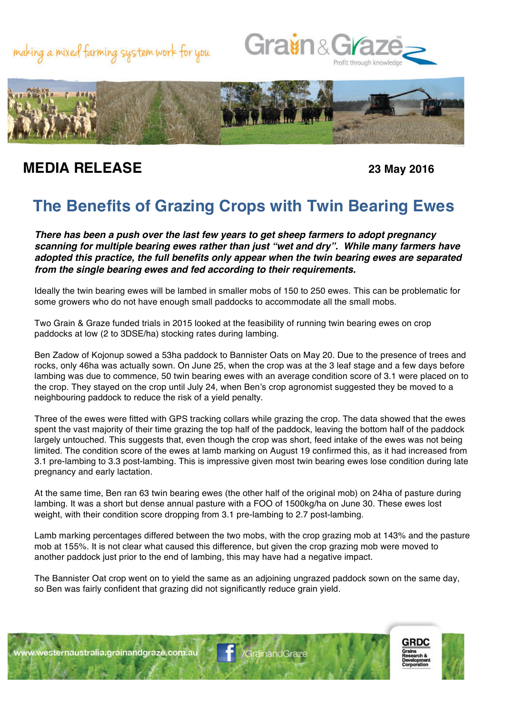





## **MEDIA RELEASE 23 May 2016**

## **The Benefits of Grazing Crops with Twin Bearing Ewes**

*There has been a push over the last few years to get sheep farmers to adopt pregnancy scanning for multiple bearing ewes rather than just "wet and dry". While many farmers have adopted this practice, the full benefits only appear when the twin bearing ewes are separated from the single bearing ewes and fed according to their requirements.* 

Ideally the twin bearing ewes will be lambed in smaller mobs of 150 to 250 ewes. This can be problematic for some growers who do not have enough small paddocks to accommodate all the small mobs.

Two Grain & Graze funded trials in 2015 looked at the feasibility of running twin bearing ewes on crop paddocks at low (2 to 3DSE/ha) stocking rates during lambing.

Ben Zadow of Kojonup sowed a 53ha paddock to Bannister Oats on May 20. Due to the presence of trees and rocks, only 46ha was actually sown. On June 25, when the crop was at the 3 leaf stage and a few days before lambing was due to commence, 50 twin bearing ewes with an average condition score of 3.1 were placed on to the crop. They stayed on the crop until July 24, when Ben's crop agronomist suggested they be moved to a neighbouring paddock to reduce the risk of a yield penalty.

Three of the ewes were fitted with GPS tracking collars while grazing the crop. The data showed that the ewes spent the vast majority of their time grazing the top half of the paddock, leaving the bottom half of the paddock largely untouched. This suggests that, even though the crop was short, feed intake of the ewes was not being limited. The condition score of the ewes at lamb marking on August 19 confirmed this, as it had increased from 3.1 pre-lambing to 3.3 post-lambing. This is impressive given most twin bearing ewes lose condition during late pregnancy and early lactation.

At the same time, Ben ran 63 twin bearing ewes (the other half of the original mob) on 24ha of pasture during lambing. It was a short but dense annual pasture with a FOO of 1500kg/ha on June 30. These ewes lost weight, with their condition score dropping from 3.1 pre-lambing to 2.7 post-lambing.

Lamb marking percentages differed between the two mobs, with the crop grazing mob at 143% and the pasture mob at 155%. It is not clear what caused this difference, but given the crop grazing mob were moved to another paddock just prior to the end of lambing, this may have had a negative impact.

The Bannister Oat crop went on to yield the same as an adjoining ungrazed paddock sown on the same day, so Ben was fairly confident that grazing did not significantly reduce grain yield.





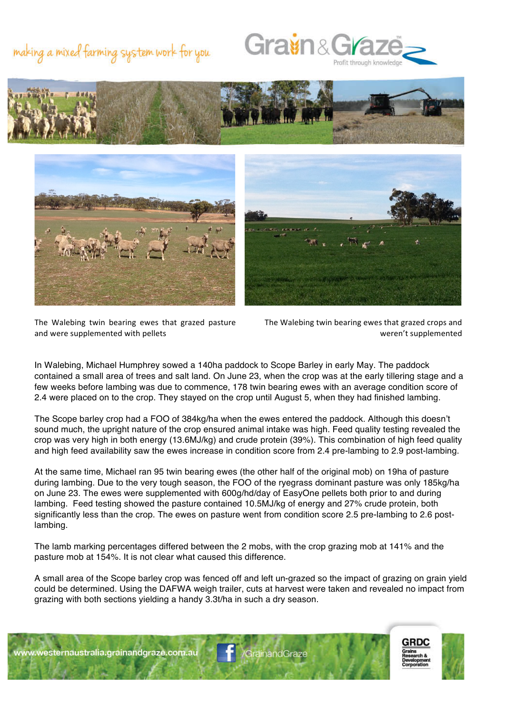## making a mixed farming system work for you









The Walebing twin bearing ewes that grazed pasture and were supplemented with pellets

The Walebing twin bearing ewes that grazed crops and weren't supplemented

In Walebing, Michael Humphrey sowed a 140ha paddock to Scope Barley in early May. The paddock contained a small area of trees and salt land. On June 23, when the crop was at the early tillering stage and a few weeks before lambing was due to commence, 178 twin bearing ewes with an average condition score of 2.4 were placed on to the crop. They stayed on the crop until August 5, when they had finished lambing.

The Scope barley crop had a FOO of 384kg/ha when the ewes entered the paddock. Although this doesn't sound much, the upright nature of the crop ensured animal intake was high. Feed quality testing revealed the crop was very high in both energy (13.6MJ/kg) and crude protein (39%). This combination of high feed quality and high feed availability saw the ewes increase in condition score from 2.4 pre-lambing to 2.9 post-lambing.

At the same time, Michael ran 95 twin bearing ewes (the other half of the original mob) on 19ha of pasture during lambing. Due to the very tough season, the FOO of the ryegrass dominant pasture was only 185kg/ha on June 23. The ewes were supplemented with 600g/hd/day of EasyOne pellets both prior to and during lambing. Feed testing showed the pasture contained 10.5MJ/kg of energy and 27% crude protein, both significantly less than the crop. The ewes on pasture went from condition score 2.5 pre-lambing to 2.6 postlambing.

The lamb marking percentages differed between the 2 mobs, with the crop grazing mob at 141% and the pasture mob at 154%. It is not clear what caused this difference.

A small area of the Scope barley crop was fenced off and left un-grazed so the impact of grazing on grain yield could be determined. Using the DAFWA weigh trailer, cuts at harvest were taken and revealed no impact from grazing with both sections yielding a handy 3.3t/ha in such a dry season.